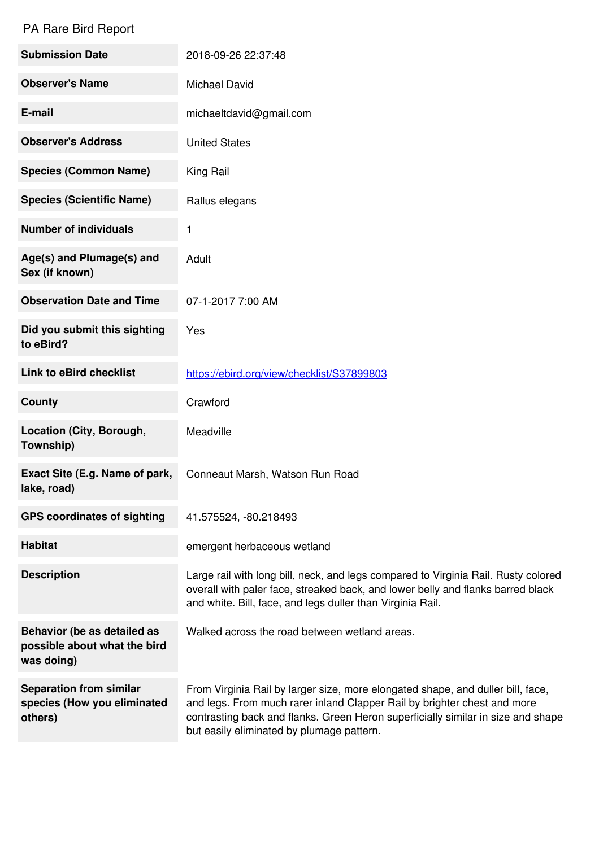## PA Rare Bird Report

| <b>Submission Date</b>                                                    | 2018-09-26 22:37:48                                                                                                                                                                                                                                                                          |
|---------------------------------------------------------------------------|----------------------------------------------------------------------------------------------------------------------------------------------------------------------------------------------------------------------------------------------------------------------------------------------|
| <b>Observer's Name</b>                                                    | <b>Michael David</b>                                                                                                                                                                                                                                                                         |
| E-mail                                                                    | michaeltdavid@gmail.com                                                                                                                                                                                                                                                                      |
| <b>Observer's Address</b>                                                 | <b>United States</b>                                                                                                                                                                                                                                                                         |
| <b>Species (Common Name)</b>                                              | King Rail                                                                                                                                                                                                                                                                                    |
| <b>Species (Scientific Name)</b>                                          | Rallus elegans                                                                                                                                                                                                                                                                               |
| <b>Number of individuals</b>                                              | 1                                                                                                                                                                                                                                                                                            |
| Age(s) and Plumage(s) and<br>Sex (if known)                               | Adult                                                                                                                                                                                                                                                                                        |
| <b>Observation Date and Time</b>                                          | 07-1-2017 7:00 AM                                                                                                                                                                                                                                                                            |
| Did you submit this sighting<br>to eBird?                                 | Yes                                                                                                                                                                                                                                                                                          |
| <b>Link to eBird checklist</b>                                            | https://ebird.org/view/checklist/S37899803                                                                                                                                                                                                                                                   |
| <b>County</b>                                                             | Crawford                                                                                                                                                                                                                                                                                     |
| Location (City, Borough,<br>Township)                                     | Meadville                                                                                                                                                                                                                                                                                    |
| Exact Site (E.g. Name of park,<br>lake, road)                             | Conneaut Marsh, Watson Run Road                                                                                                                                                                                                                                                              |
| <b>GPS coordinates of sighting</b>                                        | 41.575524, -80.218493                                                                                                                                                                                                                                                                        |
| <b>Habitat</b>                                                            | emergent herbaceous wetland                                                                                                                                                                                                                                                                  |
| <b>Description</b>                                                        | Large rail with long bill, neck, and legs compared to Virginia Rail. Rusty colored<br>overall with paler face, streaked back, and lower belly and flanks barred black<br>and white. Bill, face, and legs duller than Virginia Rail.                                                          |
| Behavior (be as detailed as<br>possible about what the bird<br>was doing) | Walked across the road between wetland areas.                                                                                                                                                                                                                                                |
| <b>Separation from similar</b><br>species (How you eliminated<br>others)  | From Virginia Rail by larger size, more elongated shape, and duller bill, face,<br>and legs. From much rarer inland Clapper Rail by brighter chest and more<br>contrasting back and flanks. Green Heron superficially similar in size and shape<br>but easily eliminated by plumage pattern. |